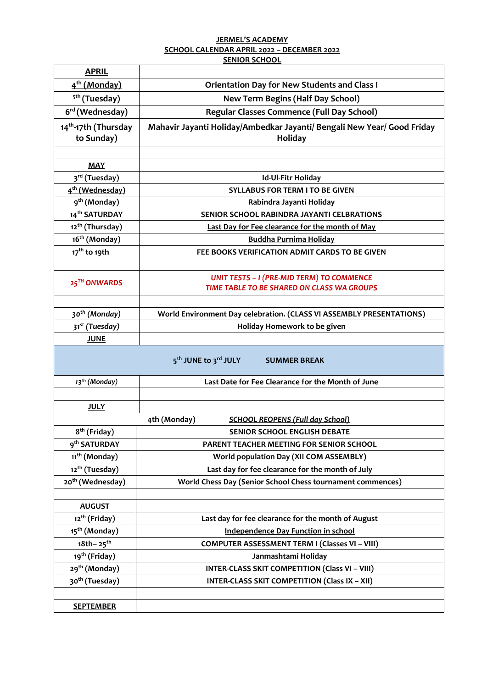## **JERMEL'S ACADEMY SCHOOL CALENDAR APRIL 2022 – DECEMBER 2022 SENIOR SCHOOL**

| <b>APRIL</b>                                   |                                                                                                |
|------------------------------------------------|------------------------------------------------------------------------------------------------|
| 4 <sup>th</sup> (Monday)                       | <b>Orientation Day for New Students and Class I</b>                                            |
| <sup>5th</sup> (Tuesday)                       | <b>New Term Begins (Half Day School)</b>                                                       |
| 6 <sup>rd</sup> (Wednesday)                    | Regular Classes Commence (Full Day School)                                                     |
| 14 <sup>th</sup> -17th (Thursday<br>to Sunday) | Mahavir Jayanti Holiday/Ambedkar Jayanti/ Bengali New Year/ Good Friday<br><b>Holiday</b>      |
|                                                |                                                                                                |
| <b>MAY</b>                                     |                                                                                                |
| 3 <sup>rd</sup> (Tuesday)                      | Id-Ul-Fitr Holiday                                                                             |
| 4 <sup>th</sup> (Wednesday)                    | <b>SYLLABUS FOR TERM I TO BE GIVEN</b>                                                         |
| 9 <sup>th</sup> (Monday)                       | Rabindra Jayanti Holiday                                                                       |
| 14 <sup>th</sup> SATURDAY                      | SENIOR SCHOOL RABINDRA JAYANTI CELBRATIONS                                                     |
| 12 <sup>th</sup> (Thursday)                    | Last Day for Fee clearance for the month of May                                                |
| 16 <sup>th</sup> (Monday)                      | <b>Buddha Purnima Holiday</b>                                                                  |
| 17 <sup>th</sup> to 19th                       | FEE BOOKS VERIFICATION ADMIT CARDS TO BE GIVEN                                                 |
|                                                |                                                                                                |
| 25 <sup>TH</sup> ONWARDS                       | <b>UNIT TESTS - I (PRE-MID TERM) TO COMMENCE</b><br>TIME TABLE TO BE SHARED ON CLASS WA GROUPS |
|                                                |                                                                                                |
| 30 <sup>th</sup> (Monday)                      | World Environment Day celebration. (CLASS VI ASSEMBLY PRESENTATIONS)                           |
| 31 <sup>st</sup> (Tuesday)                     | Holiday Homework to be given                                                                   |
| <b>JUNE</b>                                    |                                                                                                |
|                                                | 5 <sup>th</sup> JUNE to 3 <sup>rd</sup> JULY<br><b>SUMMER BREAK</b>                            |
| 13 <sup>th</sup> (Monday)                      | Last Date for Fee Clearance for the Month of June                                              |
|                                                |                                                                                                |
| <b>JULY</b>                                    |                                                                                                |
|                                                | 4th (Monday)<br><b>SCHOOL REOPENS (Full day School)</b>                                        |
| 8 <sup>th</sup> (Friday)                       | <b>SENIOR SCHOOL ENGLISH DEBATE</b>                                                            |
| 9 <sup>th</sup> SATURDAY                       | PARENT TEACHER MEETING FOR SENIOR SCHOOL                                                       |
| 11 <sup>th</sup> (Monday)                      | <b>World population Day (XII COM ASSEMBLY)</b>                                                 |
| 12 <sup>th</sup> (Tuesday)                     | Last day for fee clearance for the month of July                                               |
| 20 <sup>th</sup> (Wednesday)                   | World Chess Day (Senior School Chess tournament commences)                                     |
|                                                |                                                                                                |
| <b>AUGUST</b>                                  |                                                                                                |
| 12 <sup>th</sup> (Friday)                      | Last day for fee clearance for the month of August                                             |
| 15 <sup>th</sup> (Monday)                      | <b>Independence Day Function in school</b>                                                     |
| 18th-25 <sup>th</sup>                          | <b>COMPUTER ASSESSMENT TERM I (Classes VI - VIII)</b>                                          |
| 19 <sup>th</sup> (Friday)                      | Janmashtami Holiday                                                                            |
| 29 <sup>th</sup> (Monday)                      | <b>INTER-CLASS SKIT COMPETITION (Class VI - VIII)</b>                                          |
| 30 <sup>th</sup> (Tuesday)                     | <b>INTER-CLASS SKIT COMPETITION (Class IX - XII)</b>                                           |
|                                                |                                                                                                |
| <b>SEPTEMBER</b>                               |                                                                                                |